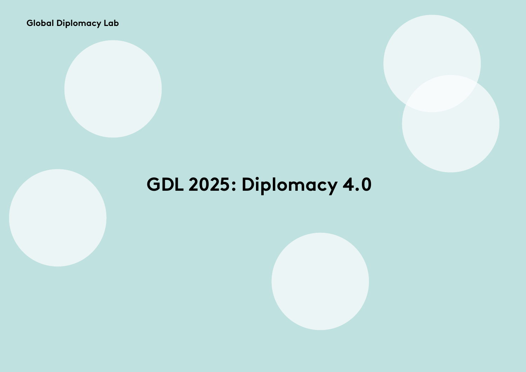**Global Diplomacy Lab** 

# **GDL 2025: Diplomacy 4.0**

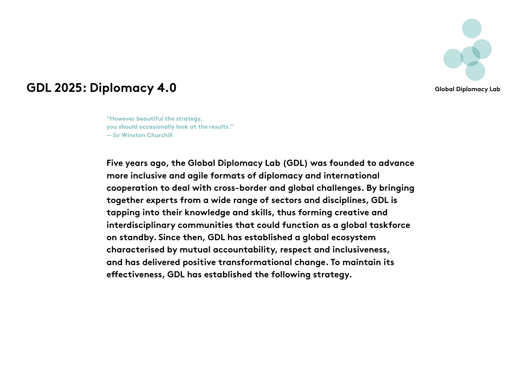

### **GDL 2025: Diplomacy 4.0** Global Diplomacy Lab

**"However beautiful the strategy, you should occasionally look at the results." — Sir Winston Churchill**

**Five years ago, the Global Diplomacy Lab (GDL) was founded to advance more inclusive and agile formats of diplomacy and international cooperation to deal with cross-border and global challenges. By bringing together experts from a wide range of sectors and disciplines, GDL is tapping into their knowledge and skills, thus forming creative and interdisciplinary communities that could function as a global taskforce on standby. Since then, GDL has established a global ecosystem characterised by mutual accountability, respect and inclusiveness, and has delivered positive transformational change. To maintain its effectiveness, GDL has established the following strategy.**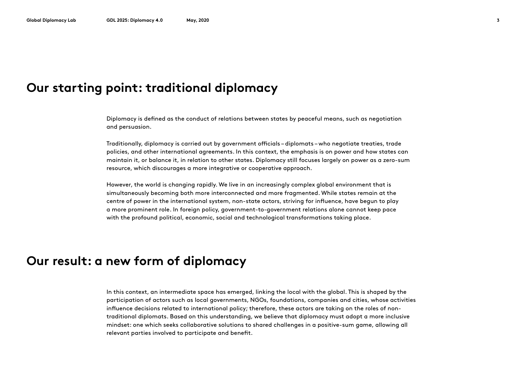#### **Our starting point: traditional diplomacy**

Diplomacy is defined as the conduct of relations between states by peaceful means, such as negotiation and persuasion.

Traditionally, diplomacy is carried out by government officials – diplomats – who negotiate treaties, trade policies, and other international agreements. In this context, the emphasis is on power and how states can maintain it, or balance it, in relation to other states. Diplomacy still focuses largely on power as a zero-sum resource, which discourages a more integrative or cooperative approach.

However, the world is changing rapidly. We live in an increasingly complex global environment that is simultaneously becoming both more interconnected and more fragmented. While states remain at the centre of power in the international system, non-state actors, striving for influence, have begun to play a more prominent role. In foreign policy, government-to-government relations alone cannot keep pace with the profound political, economic, social and technological transformations taking place.

#### **Our result: a new form of diplomacy**

In this context, an intermediate space has emerged, linking the local with the global. This is shaped by the participation of actors such as local governments, NGOs, foundations, companies and cities, whose activities influence decisions related to international policy; therefore, these actors are taking on the roles of nontraditional diplomats. Based on this understanding, we believe that diplomacy must adopt a more inclusive mindset: one which seeks collaborative solutions to shared challenges in a positive-sum game, allowing all relevant parties involved to participate and benefit.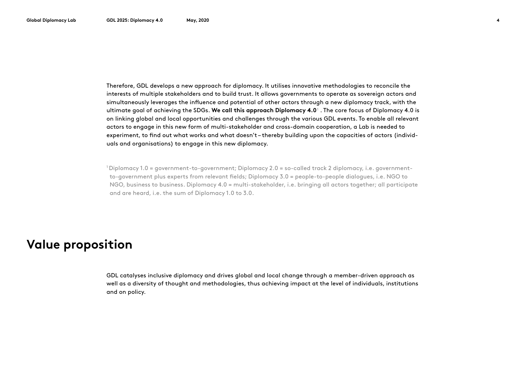Therefore, GDL develops a new approach for diplomacy. It utilises innovative methodologies to reconcile the interests of multiple stakeholders and to build trust. It allows governments to operate as sovereign actors and simultaneously leverages the influence and potential of other actors through a new diplomacy track, with the ultimate goal of achieving the SDGs. **We call this approach Diplomacy 4.0**  $\,$  . The core focus of Diplomacy 4.0 is on linking global and local opportunities and challenges through the various GDL events. To enable all relevant actors to engage in this new form of multi-stakeholder and cross-domain cooperation, a Lab is needed to experiment, to find out what works and what doesn't – thereby building upon the capacities of actors (individuals and organisations) to engage in this new diplomacy.

1 Diplomacy 1.0 = government-to-government; Diplomacy 2.0 = so-called track 2 diplomacy, i.e. governmentto-government plus experts from relevant fields; Diplomacy 3.0 = people-to-people dialogues, i.e. NGO to NGO, business to business. Diplomacy 4.0 = multi-stakeholder, i.e. bringing all actors together; all participate and are heard, i.e. the sum of Diplomacy 1.0 to 3.0.

### **Value proposition**

GDL catalyses inclusive diplomacy and drives global and local change through a member-driven approach as well as a diversity of thought and methodologies, thus achieving impact at the level of individuals, institutions and on policy.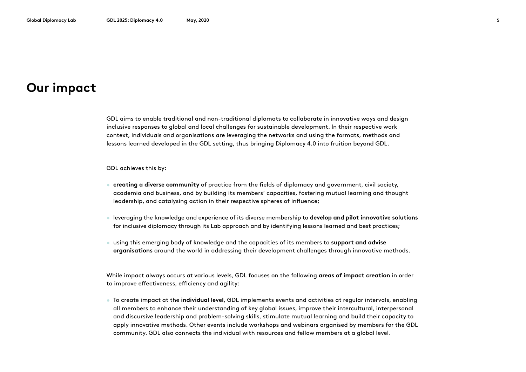#### **Our impact**

GDL aims to enable traditional and non-traditional diplomats to collaborate in innovative ways and design inclusive responses to global and local challenges for sustainable development. In their respective work context, individuals and organisations are leveraging the networks and using the formats, methods and lessons learned developed in the GDL setting, thus bringing Diplomacy 4.0 into fruition beyond GDL.

GDL achieves this by:

- **creating a diverse community** of practice from the fields of diplomacy and government, civil society, academia and business, and by building its members' capacities, fostering mutual learning and thought leadership, and catalysing action in their respective spheres of influence;
- leveraging the knowledge and experience of its diverse membership to **develop and pilot innovative solutions**  for inclusive diplomacy through its Lab approach and by identifying lessons learned and best practices;
- using this emerging body of knowledge and the capacities of its members to **support and advise organisations** around the world in addressing their development challenges through innovative methods.

While impact always occurs at various levels, GDL focuses on the following **areas of impact creation** in order to improve effectiveness, efficiency and agility:

• To create impact at the **individual level**, GDL implements events and activities at regular intervals, enabling all members to enhance their understanding of key global issues, improve their intercultural, interpersonal and discursive leadership and problem-solving skills, stimulate mutual learning and build their capacity to apply innovative methods. Other events include workshops and webinars organised by members for the GDL community. GDL also connects the individual with resources and fellow members at a global level.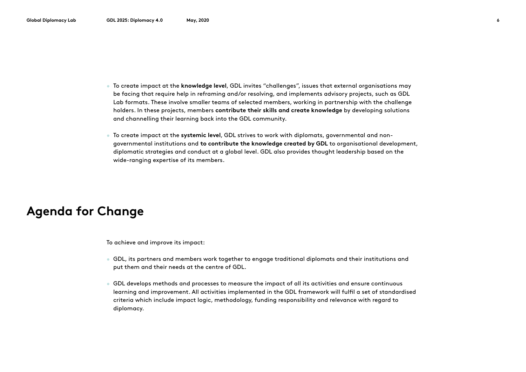- To create impact at the **knowledge level**, GDL invites "challenges", issues that external organisations may be facing that require help in reframing and/or resolving, and implements advisory projects, such as GDL Lab formats. These involve smaller teams of selected members, working in partnership with the challenge holders. In these projects, members **contribute their skills and create knowledge** by developing solutions and channelling their learning back into the GDL community.
- To create impact at the **systemic level**, GDL strives to work with diplomats, governmental and nongovernmental institutions and **to contribute the knowledge created by GDL** to organisational development, diplomatic strategies and conduct at a global level. GDL also provides thought leadership based on the wide-ranging expertise of its members.

### **Agenda for Change**

To achieve and improve its impact:

- GDL, its partners and members work together to engage traditional diplomats and their institutions and put them and their needs at the centre of GDL.
- GDL develops methods and processes to measure the impact of all its activities and ensure continuous learning and improvement. All activities implemented in the GDL framework will fulfil a set of standardised criteria which include impact logic, methodology, funding responsibility and relevance with regard to diplomacy.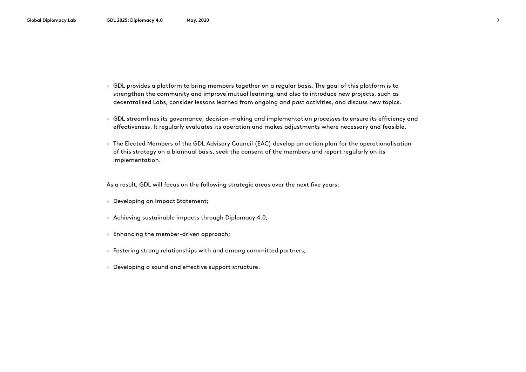- GDL provides a platform to bring members together on a regular basis. The goal of this platform is to strengthen the community and improve mutual learning, and also to introduce new projects, such as decentralised Labs, consider lessons learned from ongoing and past activities, and discuss new topics.
- GDL streamlines its governance, decision-making and implementation processes to ensure its efficiency and effectiveness. It regularly evaluates its operation and makes adjustments where necessary and feasible.
- The Elected Members of the GDL Advisory Council (EAC) develop an action plan for the operationalisation of this strategy on a biannual basis, seek the consent of the members and report regularly on its implementation.

As a result, GDL will focus on the following strategic areas over the next five years:

- Developing an Impact Statement;
- Achieving sustainable impacts through Diplomacy 4.0;
- Enhancing the member-driven approach;
- Fostering strong relationships with and among committed partners;
- Developing a sound and effective support structure.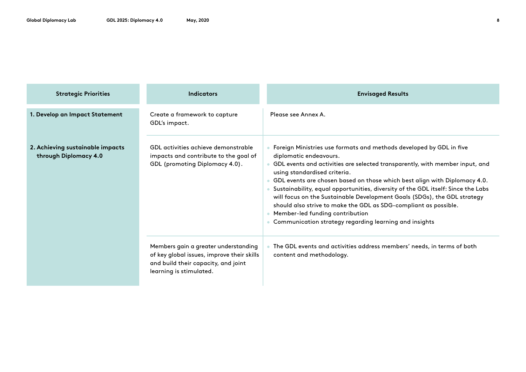| <b>Strategic Priorities</b>                               | Indicators                                                                                                                                           | <b>Envisaged Results</b>                                                                                                                                                                                                                                                                                                                                                                                                                                                                                                                                                                                                    |
|-----------------------------------------------------------|------------------------------------------------------------------------------------------------------------------------------------------------------|-----------------------------------------------------------------------------------------------------------------------------------------------------------------------------------------------------------------------------------------------------------------------------------------------------------------------------------------------------------------------------------------------------------------------------------------------------------------------------------------------------------------------------------------------------------------------------------------------------------------------------|
| 1. Develop an Impact Statement                            | Create a framework to capture<br>GDL's impact.                                                                                                       | Please see Annex A.                                                                                                                                                                                                                                                                                                                                                                                                                                                                                                                                                                                                         |
| 2. Achieving sustainable impacts<br>through Diplomacy 4.0 | GDL activities achieve demonstrable<br>impacts and contribute to the goal of<br>GDL (promoting Diplomacy 4.0).                                       | Foreign Ministries use formats and methods developed by GDL in five<br>diplomatic endeavours.<br>GDL events and activities are selected transparently, with member input, and<br>using standardised criteria.<br>GDL events are chosen based on those which best align with Diplomacy 4.0.<br>Sustainability, equal opportunities, diversity of the GDL itself: Since the Labs<br>will focus on the Sustainable Development Goals (SDGs), the GDL strategy<br>should also strive to make the GDL as SDG-compliant as possible.<br>Member-led funding contribution<br>Communication strategy regarding learning and insights |
|                                                           | Members gain a greater understanding<br>of key global issues, improve their skills<br>and build their capacity, and joint<br>learning is stimulated. | The GDL events and activities address members' needs, in terms of both<br>content and methodology.                                                                                                                                                                                                                                                                                                                                                                                                                                                                                                                          |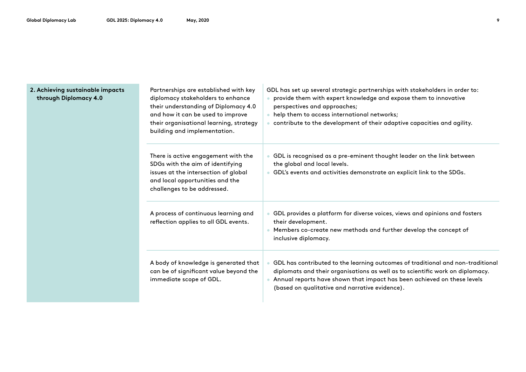| 2. Achieving sustainable impacts<br>through Diplomacy 4.0 | Partnerships are established with key<br>diplomacy stakeholders to enhance<br>their understanding of Diplomacy 4.0<br>and how it can be used to improve<br>their organisational learning, strategy<br>building and implementation. | GDL has set up several strategic partnerships with stakeholders in order to:<br>• provide them with expert knowledge and expose them to innovative<br>perspectives and approaches;<br>• help them to access international networks;<br>contribute to the development of their adaptive capacities and agility. |
|-----------------------------------------------------------|------------------------------------------------------------------------------------------------------------------------------------------------------------------------------------------------------------------------------------|----------------------------------------------------------------------------------------------------------------------------------------------------------------------------------------------------------------------------------------------------------------------------------------------------------------|
|                                                           | There is active engagement with the<br>SDGs with the aim of identifying<br>issues at the intersection of global<br>and local opportunities and the<br>challenges to be addressed.                                                  | GDL is recognised as a pre-eminent thought leader on the link between<br>the global and local levels.<br>• GDL's events and activities demonstrate an explicit link to the SDGs.                                                                                                                               |
|                                                           | A process of continuous learning and<br>reflection applies to all GDL events.                                                                                                                                                      | GDL provides a platform for diverse voices, views and opinions and fosters<br>their development.<br>Members co-create new methods and further develop the concept of<br>inclusive diplomacy.                                                                                                                   |

• GDL has contributed to the learning outcomes of traditional and non-traditional diplomats and their organisations as well as to scientific work on diplomacy. • Annual reports have shown that impact has been achieved on these levels

(based on qualitative and narrative evidence).

A body of knowledge is generated that can be of significant value beyond the

immediate scope of GDL.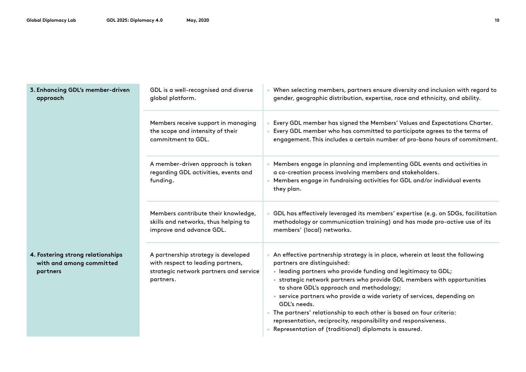| 3. Enhancing GDL's member-driven<br>approach                              | GDL is a well-recognised and diverse<br>global platform.                                                                        | . When selecting members, partners ensure diversity and inclusion with regard to<br>gender, geographic distribution, expertise, race and ethnicity, and ability.                                                                                                                                                                                                                                                                                                                                                                                                                                     |
|---------------------------------------------------------------------------|---------------------------------------------------------------------------------------------------------------------------------|------------------------------------------------------------------------------------------------------------------------------------------------------------------------------------------------------------------------------------------------------------------------------------------------------------------------------------------------------------------------------------------------------------------------------------------------------------------------------------------------------------------------------------------------------------------------------------------------------|
|                                                                           | Members receive support in managing<br>the scope and intensity of their<br>commitment to GDL.                                   | Every GDL member has signed the Members' Values and Expectations Charter.<br>Every GDL member who has committed to participate agrees to the terms of<br>engagement. This includes a certain number of pro-bono hours of commitment.                                                                                                                                                                                                                                                                                                                                                                 |
|                                                                           | A member-driven approach is taken<br>regarding GDL activities, events and<br>funding.                                           | • Members engage in planning and implementing GDL events and activities in<br>a co-creation process involving members and stakeholders.<br>Members engage in fundraising activities for GDL and/or individual events<br>they plan.                                                                                                                                                                                                                                                                                                                                                                   |
|                                                                           | Members contribute their knowledge,<br>skills and networks, thus helping to<br>improve and advance GDL.                         | GDL has effectively leveraged its members' expertise (e.g. on SDGs, facilitation<br>methodology or communication training) and has made pro-active use of its<br>members' (local) networks.                                                                                                                                                                                                                                                                                                                                                                                                          |
| 4. Fostering strong relationships<br>with and among committed<br>partners | A partnership strategy is developed<br>with respect to leading partners,<br>strategic network partners and service<br>partners. | An effective partnership strategy is in place, wherein at least the following<br>partners are distinguished:<br>· leading partners who provide funding and legitimacy to GDL;<br>• strategic network partners who provide GDL members with opportunities<br>to share GDL's approach and methodology;<br>• service partners who provide a wide variety of services, depending on<br>GDL's needs.<br>• The partners' relationship to each other is based on four criteria:<br>representation, reciprocity, responsibility and responsiveness.<br>Representation of (traditional) diplomats is assured. |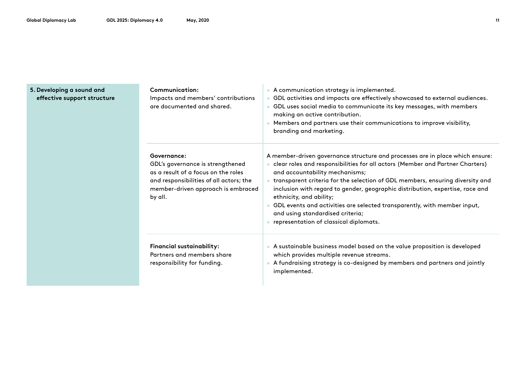#### **5. Developing a sound and effective support structure**

| Communication:<br>Impacts and members' contributions<br>are documented and shared.                                                                                                 | • A communication strategy is implemented.<br>GDL activities and impacts are effectively showcased to external audiences.<br>$\bullet$<br>GDL uses social media to communicate its key messages, with members<br>$\bullet$<br>making an active contribution.<br>• Members and partners use their communications to improve visibility,<br>branding and marketing.                                                                                                                                                                                             |  |
|------------------------------------------------------------------------------------------------------------------------------------------------------------------------------------|---------------------------------------------------------------------------------------------------------------------------------------------------------------------------------------------------------------------------------------------------------------------------------------------------------------------------------------------------------------------------------------------------------------------------------------------------------------------------------------------------------------------------------------------------------------|--|
| Governance:<br>GDL's governance is strengthened<br>as a result of a focus on the roles<br>and responsibilities of all actors; the<br>member-driven approach is embraced<br>by all. | A member-driven governance structure and processes are in place which ensure:<br>• clear roles and responsibilities for all actors (Member and Partner Charters)<br>and accountability mechanisms;<br>• transparent criteria for the selection of GDL members, ensuring diversity and<br>inclusion with regard to gender, geographic distribution, expertise, race and<br>ethnicity, and ability;<br>GDL events and activities are selected transparently, with member input,<br>and using standardised criteria;<br>• representation of classical diplomats. |  |
| <b>Financial sustainability:</b><br>Partners and members share<br>responsibility for funding.                                                                                      | • A sustainable business model based on the value proposition is developed<br>which provides multiple revenue streams.<br>• A fundraising strategy is co-designed by members and partners and jointly<br>implemented.                                                                                                                                                                                                                                                                                                                                         |  |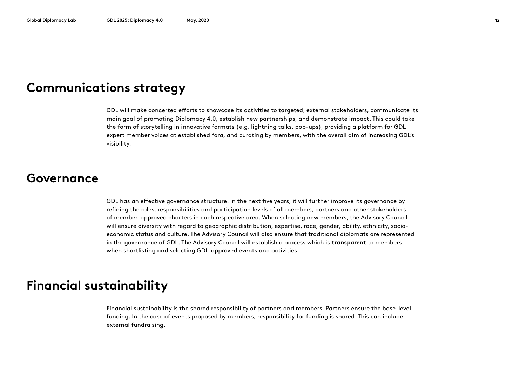### **Communications strategy**

GDL will make concerted efforts to showcase its activities to targeted, external stakeholders, communicate its main goal of promoting Diplomacy 4.0, establish new partnerships, and demonstrate impact. This could take the form of storytelling in innovative formats (e.g. lightning talks, pop-ups), providing a platform for GDL expert member voices at established fora, and curating by members, with the overall aim of increasing GDL's visibility.

#### **Governance**

GDL has an effective governance structure. In the next five years, it will further improve its governance by refining the roles, responsibilities and participation levels of all members, partners and other stakeholders of member-approved charters in each respective area. When selecting new members, the Advisory Council will ensure diversity with regard to geographic distribution, expertise, race, gender, ability, ethnicity, socioeconomic status and culture. The Advisory Council will also ensure that traditional diplomats are represented in the governance of GDL. The Advisory Council will establish a process which is **transparent** to members when shortlisting and selecting GDL-approved events and activities.

### **Financial sustainability**

Financial sustainability is the shared responsibility of partners and members. Partners ensure the base-level funding. In the case of events proposed by members, responsibility for funding is shared. This can include external fundraising.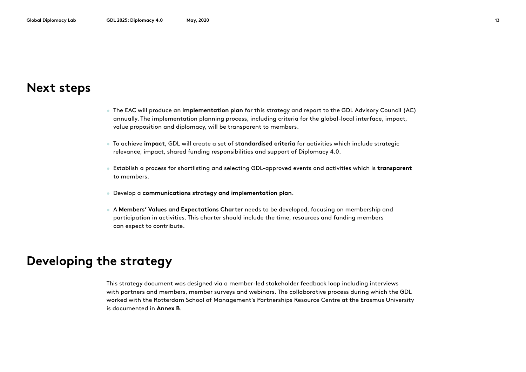#### **Next steps**

- The EAC will produce an **implementation plan** for this strategy and report to the GDL Advisory Council (AC) annually. The implementation planning process, including criteria for the global-local interface, impact, value proposition and diplomacy, will be transparent to members.
- To achieve **impact**, GDL will create a set of **standardised criteria** for activities which include strategic relevance, impact, shared funding responsibilities and support of Diplomacy 4.0.
- Establish a process for shortlisting and selecting GDL-approved events and activities which is **transparent** to members.
- Develop a **communications strategy and implementation plan**.
- A **Members' Values and Expectations Charter** needs to be developed, focusing on membership and participation in activities. This charter should include the time, resources and funding members can expect to contribute.

#### **Developing the strategy**

This strategy document was designed via a member-led stakeholder feedback loop including interviews with partners and members, member surveys and webinars. The collaborative process during which the GDL worked with the Rotterdam School of Management's Partnerships Resource Centre at the Erasmus University is documented in **Annex B**.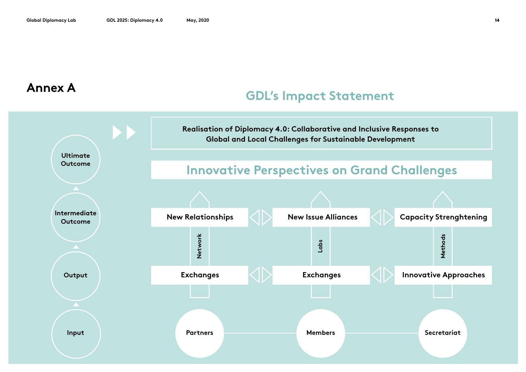#### **Annex A**

### **GDL's Impact Statement**

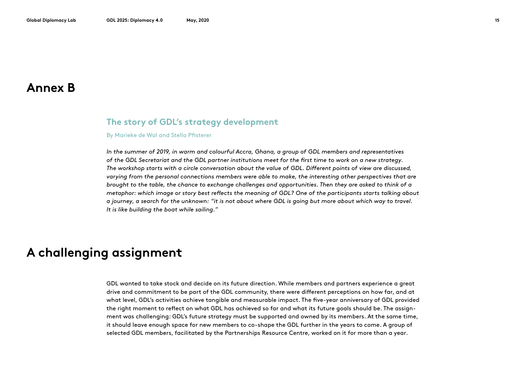#### **Annex B**

#### **The story of GDL's strategy development**

#### By Marieke de Wal and Stella Pfisterer

*In the summer of 2019, in warm and colourful Accra, Ghana, a group of GDL members and representatives of the GDL Secretariat and the GDL partner institutions meet for the first time to work on a new strategy. The workshop starts with a circle conversation about the value of GDL. Different points of view are discussed, varying from the personal connections members were able to make, the interesting other perspectives that are brought to the table, the chance to exchange challenges and opportunities. Then they are asked to think of a metaphor: which image or story best reflects the meaning of GDL? One of the participants starts talking about a journey, a search for the unknown: "it is not about where GDL is going but more about which way to travel. It is like building the boat while sailing."*

### **A challenging assignment**

GDL wanted to take stock and decide on its future direction. While members and partners experience a great drive and commitment to be part of the GDL community, there were different perceptions on how far, and at what level, GDL's activities achieve tangible and measurable impact. The five-year anniversary of GDL provided the right moment to reflect on what GDL has achieved so far and what its future goals should be. The assignment was challenging: GDL's future strategy must be supported and owned by its members. At the same time, it should leave enough space for new members to co-shape the GDL further in the years to come. A group of selected GDL members, facilitated by the Partnerships Resource Centre, worked on it for more than a year.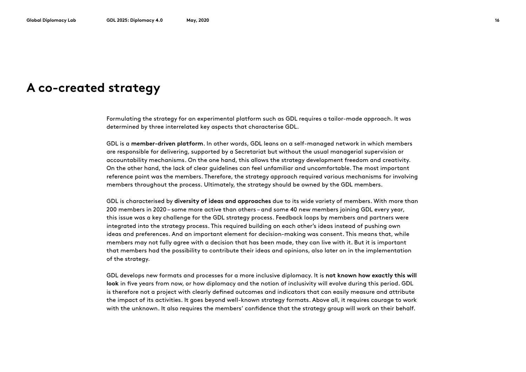#### **A co-created strategy**

Formulating the strategy for an experimental platform such as GDL requires a tailor-made approach. It was determined by three interrelated key aspects that characterise GDL.

GDL is a **member-driven platform**. In other words, GDL leans on a self-managed network in which members are responsible for delivering, supported by a Secretariat but without the usual managerial supervision or accountability mechanisms. On the one hand, this allows the strategy development freedom and creativity. On the other hand, the lack of clear guidelines can feel unfamiliar and uncomfortable. The most important reference point was the members. Therefore, the strategy approach required various mechanisms for involving members throughout the process. Ultimately, the strategy should be owned by the GDL members.

GDL is characterised by **diversity of ideas and approaches** due to its wide variety of members. With more than 200 members in 2020 – some more active than others – and some 40 new members joining GDL every year, this issue was a key challenge for the GDL strategy process. Feedback loops by members and partners were integrated into the strategy process. This required building on each other's ideas instead of pushing own ideas and preferences. And an important element for decision-making was consent. This means that, while members may not fully agree with a decision that has been made, they can live with it. But it is important that members had the possibility to contribute their ideas and opinions, also later on in the implementation of the strategy.

GDL develops new formats and processes for a more inclusive diplomacy. It is **not known how exactly this will look** in five years from now, or how diplomacy and the notion of inclusivity will evolve during this period. GDL is therefore not a project with clearly defined outcomes and indicators that can easily measure and attribute the impact of its activities. It goes beyond well-known strategy formats. Above all, it requires courage to work with the unknown. It also requires the members' confidence that the strategy group will work on their behalf.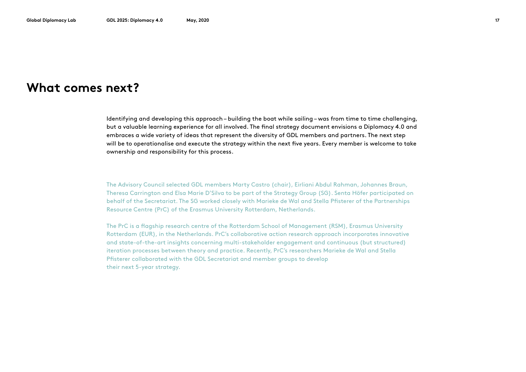#### **What comes next?**

Identifying and developing this approach – building the boat while sailing – was from time to time challenging, but a valuable learning experience for all involved. The final strategy document envisions a Diplomacy 4.0 and embraces a wide variety of ideas that represent the diversity of GDL members and partners. The next step will be to operationalise and execute the strategy within the next five years. Every member is welcome to take ownership and responsibility for this process.

The Advisory Council selected GDL members Marty Castro (chair), Eirliani Abdul Rahman, Johannes Braun, Theresa Carrington and Elsa Marie D'Silva to be part of the Strategy Group (SG). Senta Höfer participated on behalf of the Secretariat. The SG worked closely with Marieke de Wal and Stella Pfisterer of the Partnerships Resource Centre (PrC) of the Erasmus University Rotterdam, Netherlands.

The PrC is a flagship research centre of the Rotterdam School of Management (RSM), Erasmus University Rotterdam (EUR), in the Netherlands. PrC's collaborative action research approach incorporates innovative and state-of-the-art insights concerning multi-stakeholder engagement and continuous (but structured) iteration processes between theory and practice. Recently, PrC's researchers Marieke de Wal and Stella Pfisterer collaborated with the GDL Secretariat and member groups to develop their next 5-year strategy.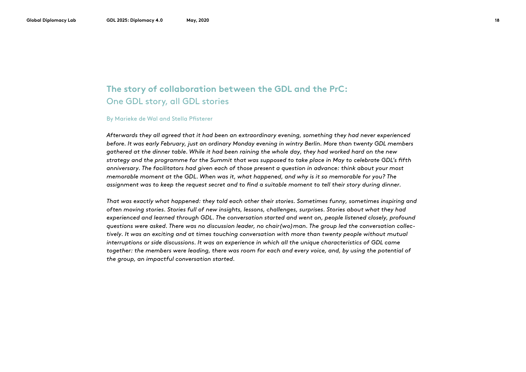#### **The story of collaboration between the GDL and the PrC:** One GDL story, all GDL stories

#### By Marieke de Wal and Stella Pfisterer

*Afterwards they all agreed that it had been an extraordinary evening, something they had never experienced before. It was early February, just an ordinary Monday evening in wintry Berlin. More than twenty GDL members gathered at the dinner table. While it had been raining the whole day, they had worked hard on the new strategy and the programme for the Summit that was supposed to take place in May to celebrate GDL's fifth anniversary. The facilitators had given each of those present a question in advance: think about your most memorable moment at the GDL. When was it, what happened, and why is it so memorable for you? The assignment was to keep the request secret and to find a suitable moment to tell their story during dinner.* 

*That was exactly what happened: they told each other their stories. Sometimes funny, sometimes inspiring and often moving stories. Stories full of new insights, lessons, challenges, surprises. Stories about what they had experienced and learned through GDL. The conversation started and went on, people listened closely, profound questions were asked. There was no discussion leader, no chair(wo)man. The group led the conversation collectively. It was an exciting and at times touching conversation with more than twenty people without mutual interruptions or side discussions. It was an experience in which all the unique characteristics of GDL came together: the members were leading, there was room for each and every voice, and, by using the potential of the group, an impactful conversation started.*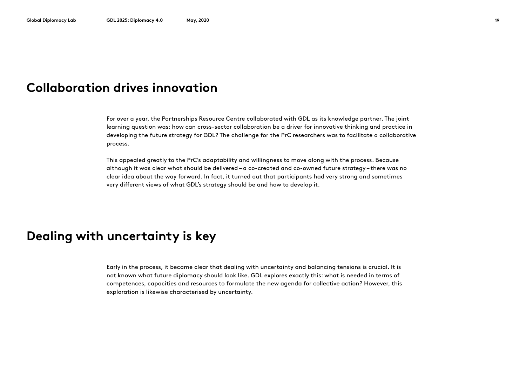#### **Collaboration drives innovation**

For over a year, the Partnerships Resource Centre collaborated with GDL as its knowledge partner. The joint learning question was: how can cross-sector collaboration be a driver for innovative thinking and practice in developing the future strategy for GDL? The challenge for the PrC researchers was to facilitate a collaborative process.

This appealed greatly to the PrC's adaptability and willingness to move along with the process. Because although it was clear what should be delivered – a co-created and co-owned future strategy – there was no clear idea about the way forward. In fact, it turned out that participants had very strong and sometimes very different views of what GDL's strategy should be and how to develop it.

### **Dealing with uncertainty is key**

Early in the process, it became clear that dealing with uncertainty and balancing tensions is crucial. It is not known what future diplomacy should look like. GDL explores exactly this: what is needed in terms of competences, capacities and resources to formulate the new agenda for collective action? However, this exploration is likewise characterised by uncertainty.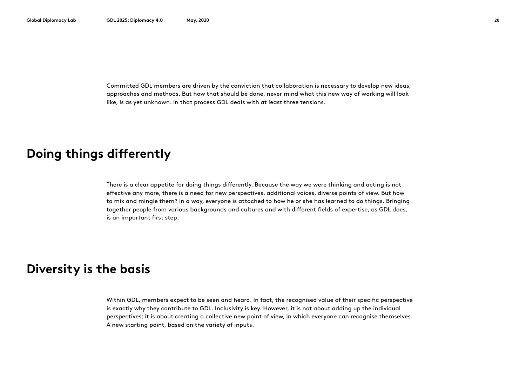Committed GDL members are driven by the conviction that collaboration is necessary to develop new ideas, approaches and methods. But how that should be done, never mind what this new way of working will look like, is as yet unknown. In that process GDL deals with at least three tensions.

### **Doing things differently**

There is a clear appetite for doing things differently. Because the way we were thinking and acting is not effective any more, there is a need for new perspectives, additional voices, diverse points of view. But how to mix and mingle them? In a way, everyone is attached to how he or she has learned to do things. Bringing together people from various backgrounds and cultures and with different fields of expertise, as GDL does, is an important first step.

#### **Diversity is the basis**

Within GDL, members expect to be seen and heard. In fact, the recognised value of their specific perspective is exactly why they contribute to GDL. Inclusivity is key. However, it is not about adding up the individual perspectives; it is about creating a collective new point of view, in which everyone can recognise themselves. A new starting point, based on the variety of inputs.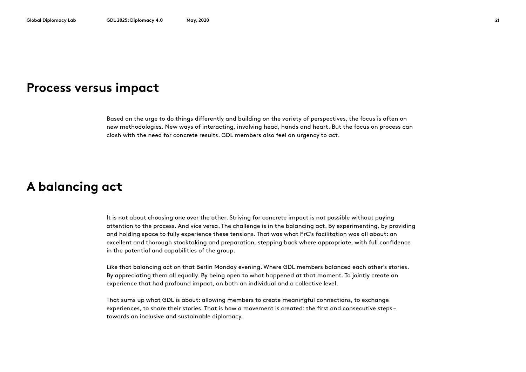#### **Process versus impact**

Based on the urge to do things differently and building on the variety of perspectives, the focus is often on new methodologies. New ways of interacting, involving head, hands and heart. But the focus on process can clash with the need for concrete results. GDL members also feel an urgency to act.

### **A balancing act**

It is not about choosing one over the other. Striving for concrete impact is not possible without paying attention to the process. And vice versa. The challenge is in the balancing act. By experimenting, by providing and holding space to fully experience these tensions. That was what PrC's facilitation was all about: an excellent and thorough stocktaking and preparation, stepping back where appropriate, with full confidence in the potential and capabilities of the group.

Like that balancing act on that Berlin Monday evening. Where GDL members balanced each other's stories. By appreciating them all equally. By being open to what happened at that moment. To jointly create an experience that had profound impact, on both an individual and a collective level.

That sums up what GDL is about: allowing members to create meaningful connections, to exchange experiences, to share their stories. That is how a movement is created: the first and consecutive steps – towards an inclusive and sustainable diplomacy.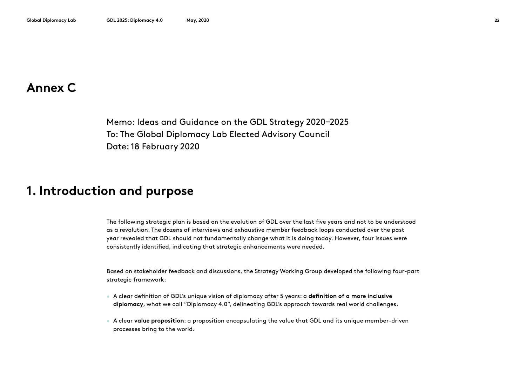#### **Annex C**

Memo: Ideas and Guidance on the GDL Strategy 2020–2025 To: The Global Diplomacy Lab Elected Advisory Council Date: 18 February 2020

#### **1. Introduction and purpose**

The following strategic plan is based on the evolution of GDL over the last five years and not to be understood as a revolution. The dozens of interviews and exhaustive member feedback loops conducted over the past year revealed that GDL should not fundamentally change what it is doing today. However, four issues were consistently identified, indicating that strategic enhancements were needed.

Based on stakeholder feedback and discussions, the Strategy Working Group developed the following four-part strategic framework:

- A clear definition of GDL's unique vision of diplomacy after 5 years: a **definition of a more inclusive diplomacy**, what we call "Diplomacy 4.0", delineating GDL's approach towards real world challenges.
- A clear **value proposition**: a proposition encapsulating the value that GDL and its unique member-driven processes bring to the world.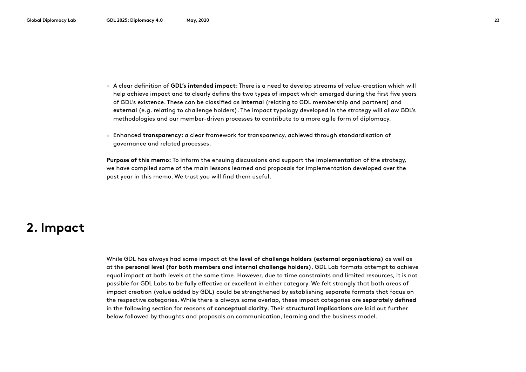- A clear definition of **GDL's intended impact**: There is a need to develop streams of value-creation which will help achieve impact and to clearly define the two types of impact which emerged during the first five years of GDL's existence. These can be classified as **internal** (relating to GDL membership and partners) and **external** (e.g. relating to challenge holders). The impact typology developed in the strategy will allow GDL's methodologies and our member-driven processes to contribute to a more agile form of diplomacy.
- Enhanced **transparency:** a clear framework for transparency, achieved through standardisation of governance and related processes.

**Purpose of this memo:** To inform the ensuing discussions and support the implementation of the strategy, we have compiled some of the main lessons learned and proposals for implementation developed over the past year in this memo. We trust you will find them useful.

### **2. Impact**

While GDL has always had some impact at the **level of challenge holders (external organisations)** as well as at the **personal level (for both members and internal challenge holders)**, GDL Lab formats attempt to achieve equal impact at both levels at the same time. However, due to time constraints and limited resources, it is not possible for GDL Labs to be fully effective or excellent in either category. We felt strongly that both areas of impact creation (value added by GDL) could be strengthened by establishing separate formats that focus on the respective categories. While there is always some overlap, these impact categories are **separately defined** in the following section for reasons of **conceptual clarity**. Their **structural implications** are laid out further below followed by thoughts and proposals on communication, learning and the business model.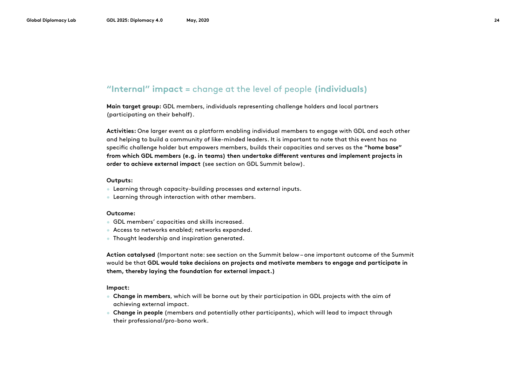#### **"Internal" impact** = change at the level of people **(individuals)**

**Main target group:** GDL members, individuals representing challenge holders and local partners (participating on their behalf).

**Activities:** One larger event as a platform enabling individual members to engage with GDL and each other and helping to build a community of like-minded leaders. It is important to note that this event has no specific challenge holder but empowers members, builds their capacities and serves as the **"home base" from which GDL members (e.g. in teams) then undertake different ventures and implement projects in order to achieve external impact** (see section on GDL Summit below).

#### **Outputs:**

- Learning through capacity-building processes and external inputs.
- Learning through interaction with other members.

#### **Outcome:**

- GDL members' capacities and skills increased.
- Access to networks enabled; networks expanded.
- Thought leadership and inspiration generated.

**Action catalysed** (Important note: see section on the Summit below – one important outcome of the Summit would be that **GDL would take decisions on projects and motivate members to engage and participate in them, thereby laying the foundation for external impact.)**

**Impact:**

- **Change in members**, which will be borne out by their participation in GDL projects with the aim of achieving external impact.
- **Change in people** (members and potentially other participants), which will lead to impact through their professional/pro-bono work.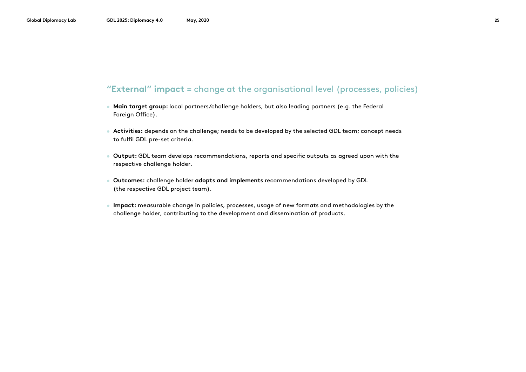#### **"External" impact** = change at the organisational level (processes, policies)

- **Main target group:** local partners/challenge holders, but also leading partners (e.g. the Federal Foreign Office).
- **Activities:** depends on the challenge; needs to be developed by the selected GDL team; concept needs to fulfil GDL pre-set criteria.
- **Output:** GDL team develops recommendations, reports and specific outputs as agreed upon with the respective challenge holder.
- **Outcomes:** challenge holder **adopts and implements** recommendations developed by GDL (the respective GDL project team).
- **Impact:** measurable change in policies, processes, usage of new formats and methodologies by the challenge holder, contributing to the development and dissemination of products.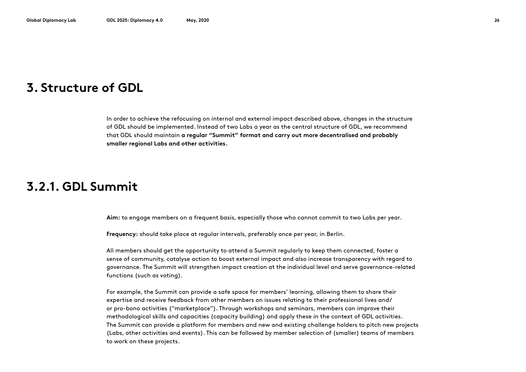#### **3. Structure of GDL**

In order to achieve the refocusing on internal and external impact described above, changes in the structure of GDL should be implemented. Instead of two Labs a year as the central structure of GDL, we recommend that GDL should maintain **a regular "Summit" format and carry out more decentralised and probably smaller regional Labs and other activities.** 

#### **3.2.1. GDL Summit**

**Aim:** to engage members on a frequent basis, especially those who cannot commit to two Labs per year.

**Frequency:** should take place at regular intervals, preferably once per year, in Berlin.

All members should get the opportunity to attend a Summit regularly to keep them connected, foster a sense of community, catalyse action to boost external impact and also increase transparency with regard to governance. The Summit will strengthen impact creation at the individual level and serve governance-related functions (such as voting).

For example, the Summit can provide a safe space for members' learning, allowing them to share their expertise and receive feedback from other members on issues relating to their professional lives and/ or pro-bono activities ("marketplace"). Through workshops and seminars, members can improve their methodological skills and capacities (capacity building) and apply these in the context of GDL activities. The Summit can provide a platform for members and new and existing challenge holders to pitch new projects (Labs, other activities and events). This can be followed by member selection of (smaller) teams of members to work on these projects.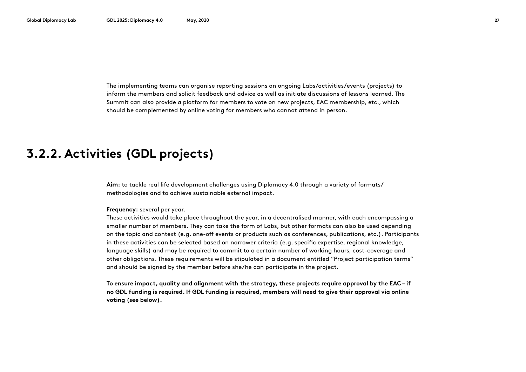The implementing teams can organise reporting sessions on ongoing Labs/activities/events (projects) to inform the members and solicit feedback and advice as well as initiate discussions of lessons learned. The Summit can also provide a platform for members to vote on new projects, EAC membership, etc., which should be complemented by online voting for members who cannot attend in person.

### **3.2.2. Activities (GDL projects)**

**Aim:** to tackle real life development challenges using Diplomacy 4.0 through a variety of formats/ methodologies and to achieve sustainable external impact.

#### **Frequency:** several per year.

These activities would take place throughout the year, in a decentralised manner, with each encompassing a smaller number of members. They can take the form of Labs, but other formats can also be used depending on the topic and context (e.g. one-off events or products such as conferences, publications, etc.). Participants in these activities can be selected based on narrower criteria (e.g. specific expertise, regional knowledge, language skills) and may be required to commit to a certain number of working hours, cost-coverage and other obligations. These requirements will be stipulated in a document entitled "Project participation terms" and should be signed by the member before she/he can participate in the project.

**To ensure impact, quality and alignment with the strategy, these projects require approval by the EAC – if no GDL funding is required. If GDL funding is required, members will need to give their approval via online voting (see below).**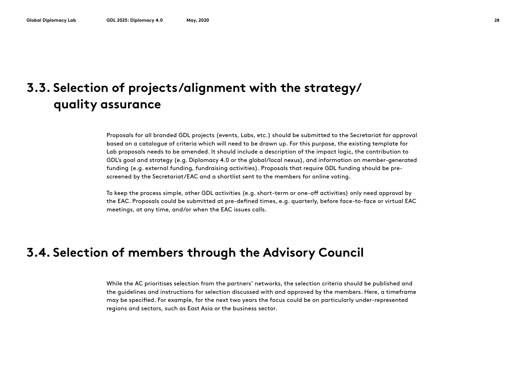## **3.3. Selection of projects/alignment with the strategy/ quality assurance**

Proposals for all branded GDL projects (events, Labs, etc.) should be submitted to the Secretariat for approval based on a catalogue of criteria which will need to be drawn up. For this purpose, the existing template for Lab proposals needs to be amended. It should include a description of the impact logic, the contribution to GDL's goal and strategy (e.g. Diplomacy 4.0 or the global/local nexus), and information on member-generated funding (e.g. external funding, fundraising activities). Proposals that require GDL funding should be prescreened by the Secretariat/EAC and a shortlist sent to the members for online voting.

To keep the process simple, other GDL activities (e.g. short-term or one-off activities) only need approval by the EAC. Proposals could be submitted at pre-defined times, e.g. quarterly, before face-to-face or virtual EAC meetings, at any time, and/or when the EAC issues calls.

### **3.4. Selection of members through the Advisory Council**

While the AC prioritises selection from the partners' networks, the selection criteria should be published and the guidelines and instructions for selection discussed with and approved by the members. Here, a timeframe may be specified. For example, for the next two years the focus could be on particularly under-represented regions and sectors, such as East Asia or the business sector.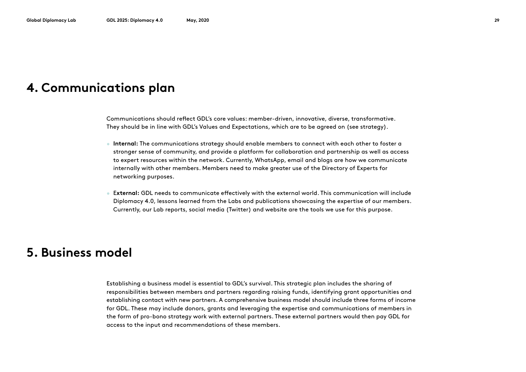#### **4. Communications plan**

Communications should reflect GDL's core values: member-driven, innovative, diverse, transformative. They should be in line with GDL's Values and Expectations, which are to be agreed on (see strategy).

- **Internal:** The communications strategy should enable members to connect with each other to foster a stronger sense of community, and provide a platform for collaboration and partnership as well as access to expert resources within the network. Currently, WhatsApp, email and blogs are how we communicate internally with other members. Members need to make greater use of the Directory of Experts for networking purposes.
- E**xternal:** GDL needs to communicate effectively with the external world. This communication will include Diplomacy 4.0, lessons learned from the Labs and publications showcasing the expertise of our members. Currently, our Lab reports, social media (Twitter) and website are the tools we use for this purpose.

#### **5. Business model**

Establishing a business model is essential to GDL's survival. This strategic plan includes the sharing of responsibilities between members and partners regarding raising funds, identifying grant opportunities and establishing contact with new partners. A comprehensive business model should include three forms of income for GDL. These may include donors, grants and leveraging the expertise and communications of members in the form of pro-bono strategy work with external partners. These external partners would then pay GDL for access to the input and recommendations of these members.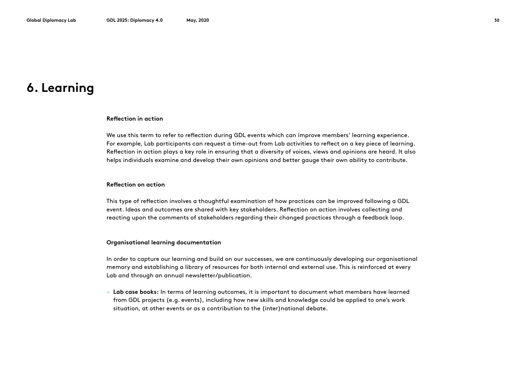### **6. Learning**

#### **Reflection in action**

We use this term to refer to reflection during GDL events which can improve members' learning experience. For example, Lab participants can request a time-out from Lab activities to reflect on a key piece of learning. Reflection in action plays a key role in ensuring that a diversity of voices, views and opinions are heard. It also helps individuals examine and develop their own opinions and better gauge their own ability to contribute.

#### **Reflection on action**

This type of reflection involves a thoughtful examination of how practices can be improved following a GDL event. Ideas and outcomes are shared with key stakeholders. Reflection on action involves collecting and reacting upon the comments of stakeholders regarding their changed practices through a feedback loop.

#### **Organisational learning documentation**

In order to capture our learning and build on our successes, we are continuously developing our organisational memory and establishing a library of resources for both internal and external use. This is reinforced at every Lab and through an annual newsletter/publication.

• **Lab case books:** In terms of learning outcomes, it is important to document what members have learned from GDL projects (e.g. events), including how new skills and knowledge could be applied to one's work situation, at other events or as a contribution to the (inter)national debate.